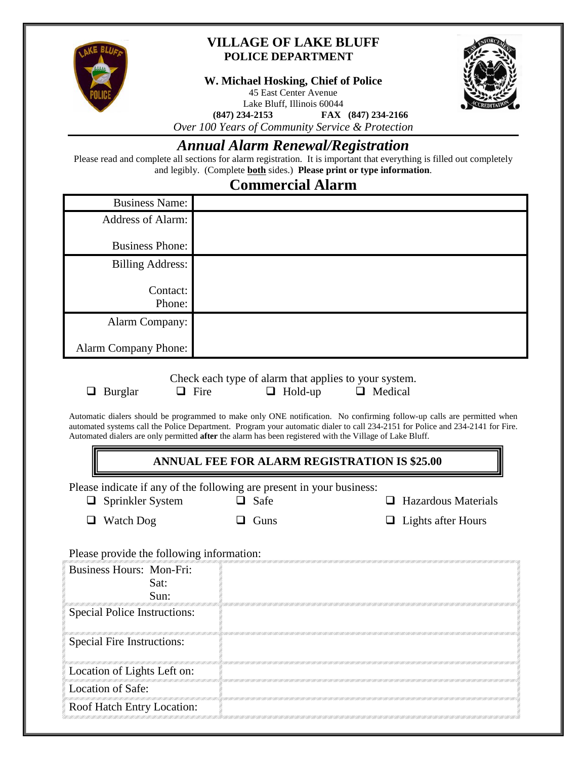

### **VILLAGE OF LAKE BLUFF POLICE DEPARTMENT**

**W. Michael Hosking, Chief of Police**

45 East Center Avenue



Lake Bluff, Illinois 60044<br>(847) 234-2153 FAX **(847) 234-2153 FAX (847) 234-2166**

*Over 100 Years of Community Service & Protection*

## *Annual Alarm Renewal/Registration*

Please read and complete all sections for alarm registration. It is important that everything is filled out completely and legibly. (Complete **both** sides.) **Please print or type information**.

## **Commercial Alarm**

| <b>Business Name:</b>       |  |
|-----------------------------|--|
| Address of Alarm:           |  |
| <b>Business Phone:</b>      |  |
| Billing Address:            |  |
|                             |  |
| Contact:                    |  |
| Phone:                      |  |
| Alarm Company:              |  |
|                             |  |
| <b>Alarm Company Phone:</b> |  |

Check each type of alarm that applies to your system.  $\Box$  Burglar  $\Box$  Fire  $\Box$  Hold-up  $\Box$  Medical

Automatic dialers should be programmed to make only ONE notification. No confirming follow-up calls are permitted when automated systems call the Police Department. Program your automatic dialer to call 234-2151 for Police and 234-2141 for Fire. Automated dialers are only permitted **after** the alarm has been registered with the Village of Lake Bluff.

### **ANNUAL FEE FOR ALARM REGISTRATION IS \$25.00**

Please indicate if any of the following are present in your business:

| $\Box$ Sprinkler System |  |
|-------------------------|--|
|                         |  |

 $\Box$  Safe

 $\Box$  Hazardous Materials

- Watch Dog
- $\Box$  Guns

 $\Box$  Lights after Hours

Please provide the following information:

| Business Hours: Mon-Fri:<br>Sat:  |  |
|-----------------------------------|--|
| Sun:                              |  |
| Special Police Instructions:      |  |
| <b>Special Fire Instructions:</b> |  |
| Location of Lights Left on:       |  |
| Location of Safe:                 |  |
| Roof Hatch Entry Location:        |  |